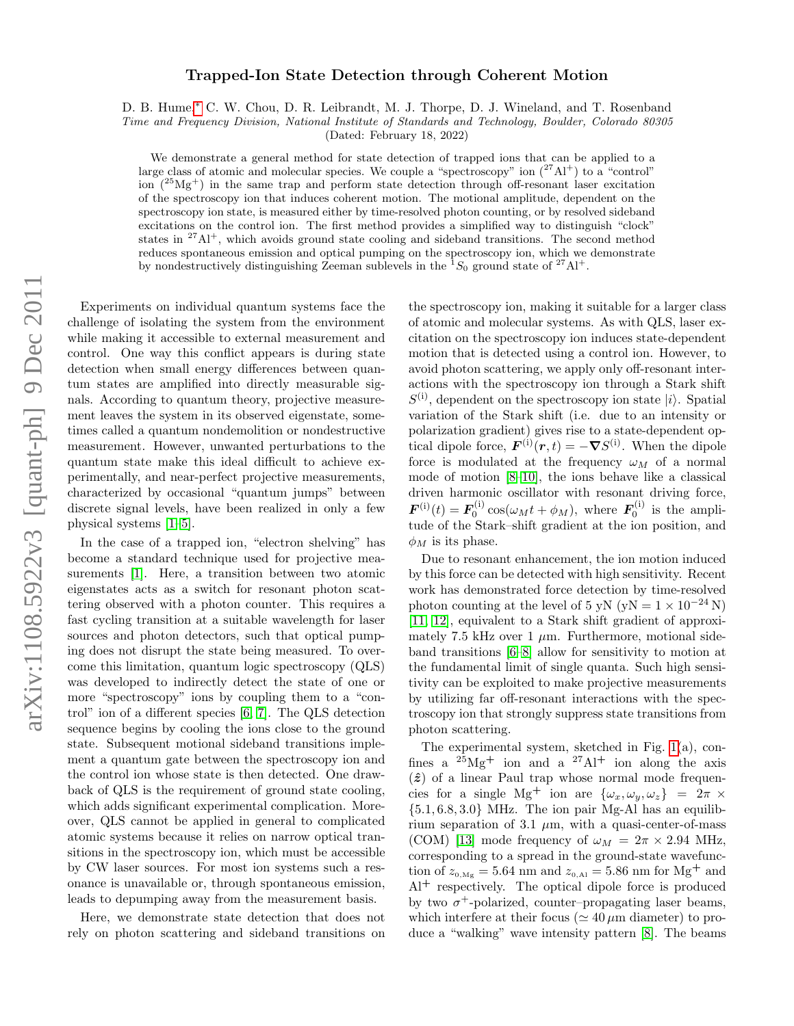## arXiv:1108.5922v3 [quant-ph] 9 Dec 2011 arXiv:1108.5922v3 [quant-ph] 9 Dec 2011

## Trapped-Ion State Detection through Coherent Motion

D. B. Hume,[∗](#page-3-0) C. W. Chou, D. R. Leibrandt, M. J. Thorpe, D. J. Wineland, and T. Rosenband

Time and Frequency Division, National Institute of Standards and Technology, Boulder, Colorado 80305

(Dated: February 18, 2022)

We demonstrate a general method for state detection of trapped ions that can be applied to a large class of atomic and molecular species. We couple a "spectroscopy" ion  $(^{27}Al^{+})$  to a "control" ion  $(^{25}Mg<sup>+</sup>)$  in the same trap and perform state detection through off-resonant laser excitation of the spectroscopy ion that induces coherent motion. The motional amplitude, dependent on the spectroscopy ion state, is measured either by time-resolved photon counting, or by resolved sideband excitations on the control ion. The first method provides a simplified way to distinguish "clock" states in  $27\text{Al}^+$ , which avoids ground state cooling and sideband transitions. The second method reduces spontaneous emission and optical pumping on the spectroscopy ion, which we demonstrate by nondestructively distinguishing Zeeman sublevels in the  ${}^{1}S_{0}$  ground state of  ${}^{27}\text{Al}^+$ .

Experiments on individual quantum systems face the challenge of isolating the system from the environment while making it accessible to external measurement and control. One way this conflict appears is during state detection when small energy differences between quantum states are amplified into directly measurable signals. According to quantum theory, projective measurement leaves the system in its observed eigenstate, sometimes called a quantum nondemolition or nondestructive measurement. However, unwanted perturbations to the quantum state make this ideal difficult to achieve experimentally, and near-perfect projective measurements, characterized by occasional "quantum jumps" between discrete signal levels, have been realized in only a few physical systems [\[1–](#page-3-1)[5\]](#page-3-2).

In the case of a trapped ion, "electron shelving" has become a standard technique used for projective measurements [\[1\]](#page-3-1). Here, a transition between two atomic eigenstates acts as a switch for resonant photon scattering observed with a photon counter. This requires a fast cycling transition at a suitable wavelength for laser sources and photon detectors, such that optical pumping does not disrupt the state being measured. To overcome this limitation, quantum logic spectroscopy (QLS) was developed to indirectly detect the state of one or more "spectroscopy" ions by coupling them to a "control" ion of a different species [\[6,](#page-3-3) [7\]](#page-3-4). The QLS detection sequence begins by cooling the ions close to the ground state. Subsequent motional sideband transitions implement a quantum gate between the spectroscopy ion and the control ion whose state is then detected. One drawback of QLS is the requirement of ground state cooling, which adds significant experimental complication. Moreover, QLS cannot be applied in general to complicated atomic systems because it relies on narrow optical transitions in the spectroscopy ion, which must be accessible by CW laser sources. For most ion systems such a resonance is unavailable or, through spontaneous emission, leads to depumping away from the measurement basis.

Here, we demonstrate state detection that does not rely on photon scattering and sideband transitions on the spectroscopy ion, making it suitable for a larger class of atomic and molecular systems. As with QLS, laser excitation on the spectroscopy ion induces state-dependent motion that is detected using a control ion. However, to avoid photon scattering, we apply only off-resonant interactions with the spectroscopy ion through a Stark shift  $S^{(i)}$ , dependent on the spectroscopy ion state  $|i\rangle$ . Spatial variation of the Stark shift (i.e. due to an intensity or polarization gradient) gives rise to a state-dependent optical dipole force,  $\mathbf{F}^{(i)}(\mathbf{r},t) = -\nabla S^{(i)}$ . When the dipole force is modulated at the frequency  $\omega_M$  of a normal mode of motion [\[8–](#page-4-0)[10\]](#page-4-1), the ions behave like a classical driven harmonic oscillator with resonant driving force,  $\boldsymbol{F}^{(i)}(t) = \boldsymbol{F}_0^{(i)} \cos(\omega_M t + \phi_M)$ , where  $\boldsymbol{F}_0^{(i)}$  is the amplitude of the Stark–shift gradient at the ion position, and  $\phi_M$  is its phase.

Due to resonant enhancement, the ion motion induced by this force can be detected with high sensitivity. Recent work has demonstrated force detection by time-resolved photon counting at the level of 5 yN (yN =  $1 \times 10^{-24}$  N) [\[11,](#page-4-2) [12\]](#page-4-3), equivalent to a Stark shift gradient of approximately 7.5 kHz over 1  $\mu$ m. Furthermore, motional sideband transitions [\[6–](#page-3-3)[8\]](#page-4-0) allow for sensitivity to motion at the fundamental limit of single quanta. Such high sensitivity can be exploited to make projective measurements by utilizing far off-resonant interactions with the spectroscopy ion that strongly suppress state transitions from photon scattering.

The experimental system, sketched in Fig. [1\(](#page-1-0)a), confines a  $^{25}Mg^+$  ion and a  $^{27}Al^+$  ion along the axis  $(\hat{z})$  of a linear Paul trap whose normal mode frequencies for a single Mg<sup>+</sup> ion are  $\{\omega_x, \omega_y, \omega_z\} = 2\pi$  ×  ${5.1, 6.8, 3.0}$  MHz. The ion pair Mg-Al has an equilibrium separation of 3.1  $\mu$ m, with a quasi-center-of-mass (COM) [\[13\]](#page-4-4) mode frequency of  $\omega_M = 2\pi \times 2.94$  MHz, corresponding to a spread in the ground-state wavefunction of  $z_{0, Mg} = 5.64$  nm and  $z_{0, A1} = 5.86$  nm for Mg<sup>+</sup> and  $Al^+$  respectively. The optical dipole force is produced by two  $\sigma^+$ -polarized, counter-propagating laser beams, which interfere at their focus ( $\simeq 40 \,\mu \text{m}$  diameter) to produce a "walking" wave intensity pattern [\[8\]](#page-4-0). The beams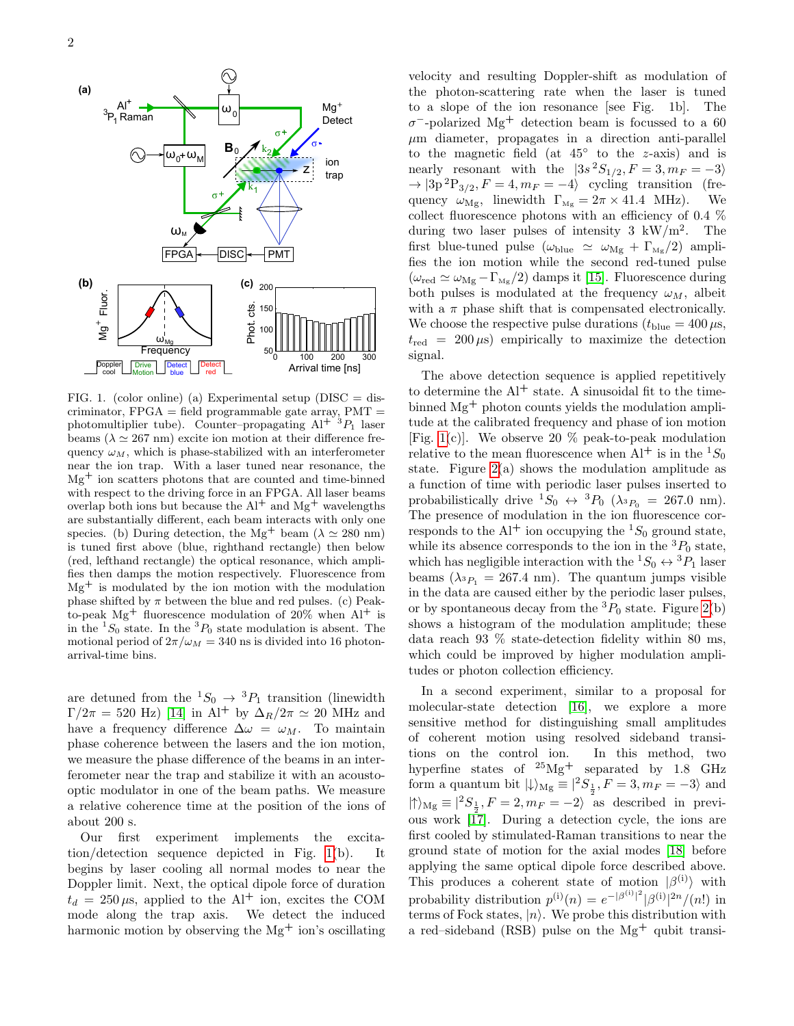

<span id="page-1-0"></span>FIG. 1. (color online) (a) Experimental setup ( $DISC = dis$ criminator,  $FPGA = field programmable gate array, PMT =$ photomultiplier tube). Counter–propagating  $Al^{+3}P_1$  laser beams ( $\lambda \simeq 267$  nm) excite ion motion at their difference frequency  $\omega_M$ , which is phase-stabilized with an interferometer near the ion trap. With a laser tuned near resonance, the Mg<sup>+</sup> ion scatters photons that are counted and time-binned with respect to the driving force in an FPGA. All laser beams overlap both ions but because the  $Al^+$  and  $Mg^+$  wavelengths are substantially different, each beam interacts with only one species. (b) During detection, the Mg<sup>+</sup> beam ( $\lambda \simeq 280$  nm) is tuned first above (blue, righthand rectangle) then below (red, lefthand rectangle) the optical resonance, which amplifies then damps the motion respectively. Fluorescence from  $Mg<sup>+</sup>$  is modulated by the ion motion with the modulation phase shifted by  $\pi$  between the blue and red pulses. (c) Peakto-peak  $Mg^+$  fluorescence modulation of 20% when  $Al^+$  is in the  ${}^{1}S_0$  state. In the  ${}^{3}P_0$  state modulation is absent. The motional period of  $2\pi/\omega_M = 340$  ns is divided into 16 photonarrival-time bins.

are detuned from the  ${}^1S_0 \rightarrow {}^3P_1$  transition (linewidth  $\Gamma/2\pi = 520$  Hz) [\[14\]](#page-4-5) in Al<sup>+</sup> by  $\Delta_R/2\pi \simeq 20$  MHz and have a frequency difference  $\Delta \omega = \omega_M$ . To maintain phase coherence between the lasers and the ion motion, we measure the phase difference of the beams in an interferometer near the trap and stabilize it with an acoustooptic modulator in one of the beam paths. We measure a relative coherence time at the position of the ions of about 200 s.

Our first experiment implements the excitation/detection sequence depicted in Fig. [1\(](#page-1-0)b). It begins by laser cooling all normal modes to near the Doppler limit. Next, the optical dipole force of duration  $t_d = 250 \,\mu s$ , applied to the Al<sup>+</sup> ion, excites the COM mode along the trap axis. We detect the induced harmonic motion by observing the  $Mg<sup>+</sup>$  ion's oscillating velocity and resulting Doppler-shift as modulation of the photon-scattering rate when the laser is tuned to a slope of the ion resonance [see Fig. 1b]. The  $\sigma$ <sup>-</sup>-polarized Mg<sup>+</sup> detection beam is focussed to a 60  $\mu$ m diameter, propagates in a direction anti-parallel to the magnetic field (at  $45^\circ$  to the z-axis) and is nearly resonant with the  $|3s^2S_{1/2}, F = 3, m_F = -3\rangle$  $\rightarrow$  |3p<sup>2</sup>P<sub>3/2</sub>,  $F = 4, m_F = -4$ } cycling transition (frequency  $\omega_{\text{Mg}}$ , linewidth  $\Gamma_{\text{Mg}} = 2\pi \times 41.4 \text{ MHz}$ . We collect fluorescence photons with an efficiency of 0.4 % during two laser pulses of intensity  $3 \text{ kW/m}^2$ . The first blue-tuned pulse ( $\omega_{\rm blue}$   $\,\simeq\,\,\omega_{\rm Mg}$  +  $\Gamma_{\rm Mg}/2)$  amplifies the ion motion while the second red-tuned pulse  $(\omega_{\rm red} \simeq \omega_{\rm Mg} - \Gamma_{\rm Mg}/2)$  damps it [\[15\]](#page-4-6). Fluorescence during both pulses is modulated at the frequency  $\omega_M$ , albeit with a  $\pi$  phase shift that is compensated electronically. We choose the respective pulse durations  $(t_{blue} = 400 \,\mu s,$  $t_{\text{red}} = 200 \,\mu s$  empirically to maximize the detection signal.

The above detection sequence is applied repetitively to determine the  $Al^+$  state. A sinusoidal fit to the timebinned Mg<sup>+</sup> photon counts yields the modulation amplitude at the calibrated frequency and phase of ion motion [Fig. [1\(](#page-1-0)c)]. We observe 20  $\%$  peak-to-peak modulation relative to the mean fluorescence when  $Al^+$  is in the  ${}^1S_0$ state. Figure  $2(a)$  shows the modulation amplitude as a function of time with periodic laser pulses inserted to probabilistically drive  ${}^{1}S_{0} \leftrightarrow {}^{3}P_{0}$  ( $\lambda_{{}^{3}P_{0}} = 267.0$  nm). The presence of modulation in the ion fluorescence corresponds to the Al<sup>+</sup> ion occupying the  ${}^{1}S_{0}$  ground state, while its absence corresponds to the ion in the  ${}^{3}P_{0}$  state, which has negligible interaction with the  $^1S_0\leftrightarrow{}^3P_1$  laser beams  $(\lambda_{^3P_1} = 267.4 \text{ nm})$ . The quantum jumps visible in the data are caused either by the periodic laser pulses, or by spontaneous decay from the  ${}^{3}P_{0}$  state. Figure [2\(](#page-2-0)b) shows a histogram of the modulation amplitude; these data reach 93 % state-detection fidelity within 80 ms, which could be improved by higher modulation amplitudes or photon collection efficiency.

In a second experiment, similar to a proposal for molecular-state detection [\[16\]](#page-4-7), we explore a more sensitive method for distinguishing small amplitudes of coherent motion using resolved sideband transitions on the control ion. In this method, two hyperfine states of <sup>25</sup>Mg<sup>+</sup> separated by 1.8 GHz form a quantum bit  $|\!\!\downarrow\rangle_{\rm Mg} \equiv |^{2}S_{\frac{1}{2}}, F = 3, m_{F} = -3\rangle$  and  $|\!\!\uparrow\rangle_{\rm Mg} \equiv |^2S_{\frac{1}{2}}, F=2, m_F=-2 \rangle$  as described in previous work [\[17\]](#page-4-8). During a detection cycle, the ions are first cooled by stimulated-Raman transitions to near the ground state of motion for the axial modes [\[18\]](#page-4-9) before applying the same optical dipole force described above. This produces a coherent state of motion  $|\beta^{(i)}\rangle$  with probability distribution  $p^{(i)}(n) = e^{-|\beta^{(i)}|^2} |\beta^{(i)}|^{2n}/(n!)$  in terms of Fock states,  $|n\rangle$ . We probe this distribution with a red–sideband (RSB) pulse on the  $Mg<sup>+</sup>$  qubit transi-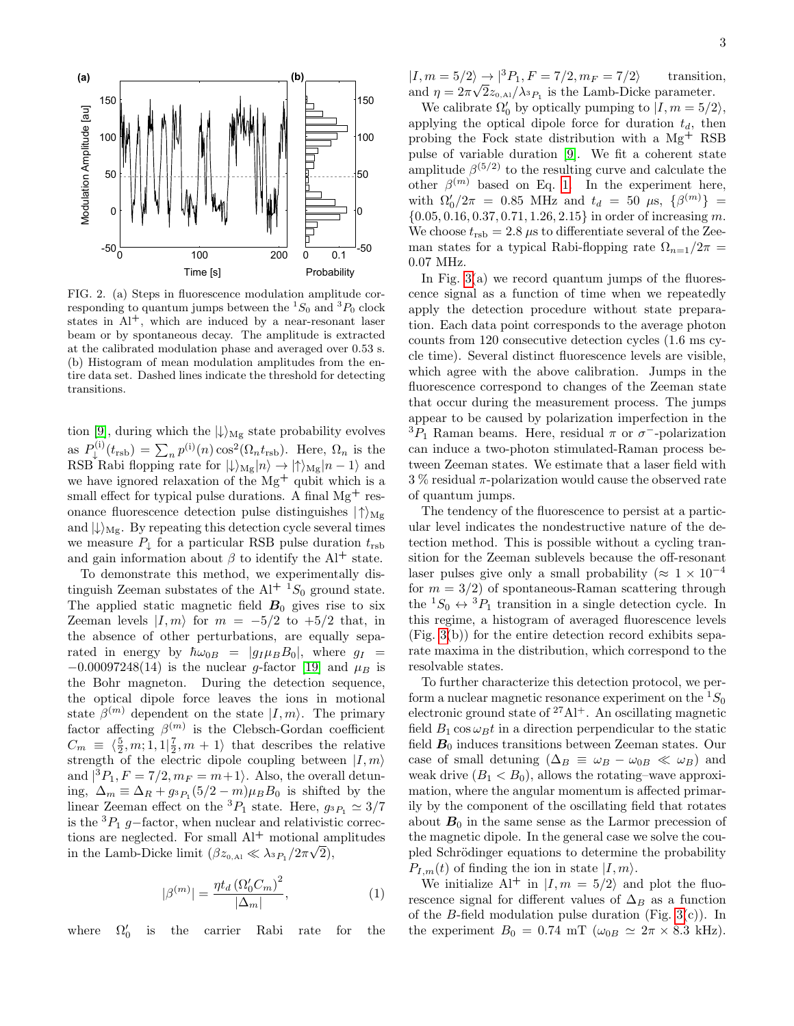

<span id="page-2-0"></span>FIG. 2. (a) Steps in fluorescence modulation amplitude corresponding to quantum jumps between the  ${}^{1}S_{0}$  and  ${}^{3}P_{0}$  clock states in  $Al^+$ , which are induced by a near-resonant laser beam or by spontaneous decay. The amplitude is extracted at the calibrated modulation phase and averaged over 0.53 s. (b) Histogram of mean modulation amplitudes from the entire data set. Dashed lines indicate the threshold for detecting transitions.

tion [\[9\]](#page-4-10), during which the  $|\!\downarrow\rangle_{\text{Mg}}$  state probability evolves as  $P_{\perp}^{(i)}$  $\psi^{(i)}(t_{\text{rsb}}) = \sum_n p^{(i)}(n) \cos^2(\Omega_n t_{\text{rsb}})$ . Here,  $\Omega_n$  is the RSB Rabi flopping rate for  $|\!\downarrow\rangle_{\text{Mg}}|n\rangle \rightarrow |\!\uparrow\rangle_{\text{Mg}}|n-1\rangle$  and we have ignored relaxation of the  $Mg^+$  qubit which is a small effect for typical pulse durations. A final  $Mg^+$  resonance fluorescence detection pulse distinguishes  $|\uparrow\rangle_{Mg}$ and  $\ket{\downarrow}_{Mg}$ . By repeating this detection cycle several times we measure  $P_{\perp}$  for a particular RSB pulse duration  $t_{\text{rsb}}$ and gain information about  $\beta$  to identify the Al<sup>+</sup> state.

To demonstrate this method, we experimentally distinguish Zeeman substates of the  $Al^{+1}S_0$  ground state. The applied static magnetic field  $B_0$  gives rise to six Zeeman levels  $|I, m\rangle$  for  $m = -5/2$  to  $+5/2$  that, in the absence of other perturbations, are equally separated in energy by  $\hbar \omega_{0B} = |q_I \mu_B B_0|$ , where  $q_I =$  $-0.00097248(14)$  is the nuclear g-factor [\[19\]](#page-4-11) and  $\mu_B$  is the Bohr magneton. During the detection sequence, the optical dipole force leaves the ions in motional state  $\beta^{(m)}$  dependent on the state  $|I,m\rangle$ . The primary factor affecting  $\beta^{(m)}$  is the Clebsch-Gordan coefficient  $C_m \equiv \langle \frac{5}{2}, m; 1, 1 | \frac{7}{2}, m + 1 \rangle$  that describes the relative strength of the electric dipole coupling between  $|I, m\rangle$ and  $|{}^3P_1, F = 7/2, m_F = m+1\rangle$ . Also, the overall detuning,  $\Delta_m \equiv \Delta_R + g_{^3P_1}(5/2 - m)\mu_B B_0$  is shifted by the linear Zeeman effect on the <sup>3</sup> $P_1$  state. Here,  $g_{3P_1} \simeq 3/7$ is the  ${}^{3}P_{1}$  g−factor, when nuclear and relativistic corrections are neglected. For small  $Al^+$  motional amplitudes in the Lamb-Dicke limit  $(\beta z_{0,A1} \ll \lambda_{3P_1}/2\pi\sqrt{2}),$ 

<span id="page-2-1"></span>
$$
|\beta^{(m)}| = \frac{\eta t_d \left(\Omega_0' C_m\right)^2}{|\Delta_m|},\tag{1}
$$

where  $\Omega_0'$ is the carrier Rabi rate for the  $|I, m = 5/2\rangle \rightarrow |{}^{3}P_1, F = 7/2, m_F = 7/2\rangle$  transition, and  $\eta = 2\pi \sqrt{2z_{0,\text{Al}}/\lambda_{3}} P_{1}$  is the Lamb-Dicke parameter.

We calibrate  $\Omega'_0$  by optically pumping to  $|I, m = 5/2\rangle$ , applying the optical dipole force for duration  $t_d$ , then probing the Fock state distribution with a Mg<sup>+</sup> RSB pulse of variable duration [\[9\]](#page-4-10). We fit a coherent state amplitude  $\beta^{(5/2)}$  to the resulting curve and calculate the other  $\beta^{(m)}$  based on Eq. [1.](#page-2-1) In the experiment here, with  $\Omega_0'/2\pi = 0.85$  MHz and  $t_d = 50 \mu s, \{\beta^{(m)}\} =$  $\{0.05, 0.16, 0.37, 0.71, 1.26, 2.15\}$  in order of increasing m. We choose  $t_{\text{rsb}} = 2.8 \,\mu s$  to differentiate several of the Zeeman states for a typical Rabi-flopping rate  $\Omega_{n=1}/2\pi$  = 0.07 MHz.

In Fig.  $3(a)$  we record quantum jumps of the fluorescence signal as a function of time when we repeatedly apply the detection procedure without state preparation. Each data point corresponds to the average photon counts from 120 consecutive detection cycles (1.6 ms cycle time). Several distinct fluorescence levels are visible, which agree with the above calibration. Jumps in the fluorescence correspond to changes of the Zeeman state that occur during the measurement process. The jumps appear to be caused by polarization imperfection in the  ${}^{3}P_{1}$  Raman beams. Here, residual  $\pi$  or  $\sigma^-$ -polarization can induce a two-photon stimulated-Raman process between Zeeman states. We estimate that a laser field with  $3\%$  residual  $\pi$ -polarization would cause the observed rate of quantum jumps.

The tendency of the fluorescence to persist at a particular level indicates the nondestructive nature of the detection method. This is possible without a cycling transition for the Zeeman sublevels because the off-resonant laser pulses give only a small probability ( $\approx 1 \times 10^{-4}$ for  $m = 3/2$  of spontaneous-Raman scattering through the  ${}^1S_0 \leftrightarrow {}^3P_1$  transition in a single detection cycle. In this regime, a histogram of averaged fluorescence levels (Fig. [3\(](#page-3-5)b)) for the entire detection record exhibits separate maxima in the distribution, which correspond to the resolvable states.

To further characterize this detection protocol, we perform a nuclear magnetic resonance experiment on the  ${}^{1}S_{0}$ electronic ground state of  $27\text{Al}^+$ . An oscillating magnetic field  $B_1 \cos \omega_B t$  in a direction perpendicular to the static field  $B_0$  induces transitions between Zeeman states. Our case of small detuning  $(\Delta_B \equiv \omega_B - \omega_{0B} \ll \omega_B)$  and weak drive  $(B_1 < B_0)$ , allows the rotating–wave approximation, where the angular momentum is affected primarily by the component of the oscillating field that rotates about  $B_0$  in the same sense as the Larmor precession of the magnetic dipole. In the general case we solve the coupled Schrödinger equations to determine the probability  $P_{I,m}(t)$  of finding the ion in state  $|I,m\rangle$ .

We initialize  $Al^+$  in  $|I, m = 5/2\rangle$  and plot the fluorescence signal for different values of  $\Delta_B$  as a function of the B-field modulation pulse duration (Fig.  $3(c)$ ). In the experiment  $B_0 = 0.74$  mT  $(\omega_{0B} \simeq 2\pi \times 8.3$  kHz).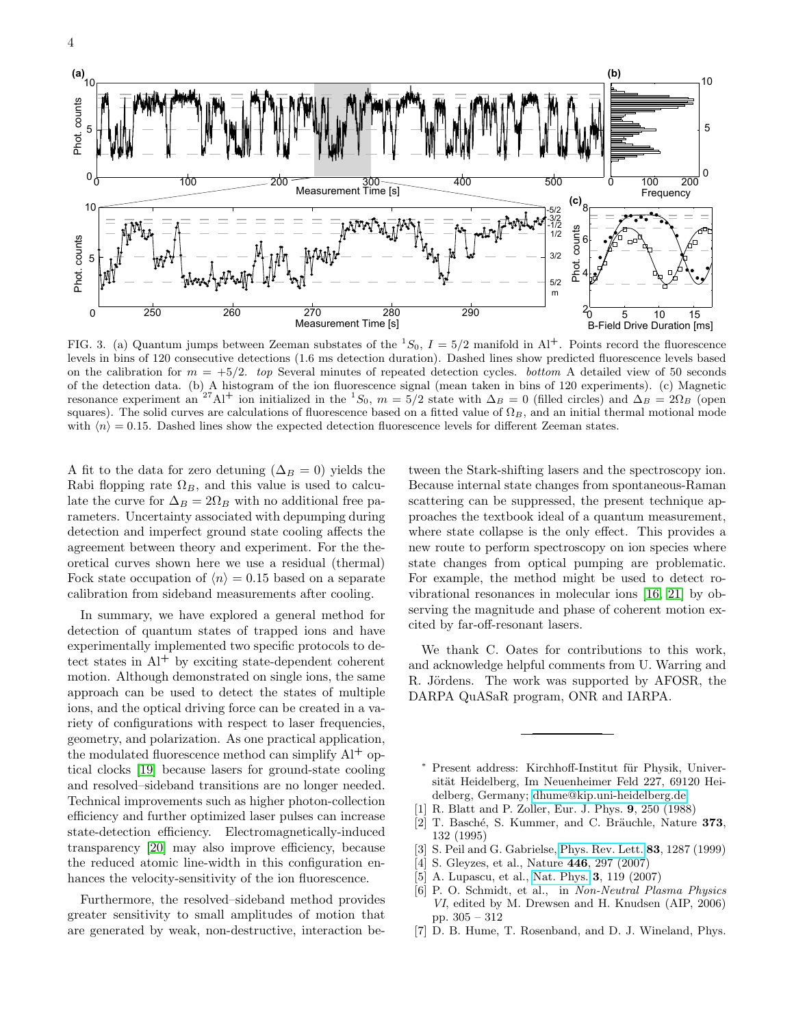

<span id="page-3-5"></span>FIG. 3. (a) Quantum jumps between Zeeman substates of the  ${}^{1}S_0$ ,  $I = 5/2$  manifold in Al<sup>+</sup>. Points record the fluorescence levels in bins of 120 consecutive detections (1.6 ms detection duration). Dashed lines show predicted fluorescence levels based on the calibration for  $m = +5/2$ . top Several minutes of repeated detection cycles. bottom A detailed view of 50 seconds of the detection data. (b) A histogram of the ion fluorescence signal (mean taken in bins of 120 experiments). (c) Magnetic resonance experiment an<sup>27</sup>Al<sup>+</sup> ion initialized in the <sup>1</sup>S<sub>0</sub>,  $m = 5/2$  state with  $\Delta_B = 0$  (filled circles) and  $\Delta_B = 2\Omega_B$  (open squares). The solid curves are calculations of fluorescence based on a fitted value of  $\Omega_B$ , and an initial thermal motional mode with  $\langle n \rangle = 0.15$ . Dashed lines show the expected detection fluorescence levels for different Zeeman states.

A fit to the data for zero detuning ( $\Delta_B = 0$ ) yields the Rabi flopping rate  $\Omega_B$ , and this value is used to calculate the curve for  $\Delta_B = 2\Omega_B$  with no additional free parameters. Uncertainty associated with depumping during detection and imperfect ground state cooling affects the agreement between theory and experiment. For the theoretical curves shown here we use a residual (thermal) Fock state occupation of  $\langle n \rangle = 0.15$  based on a separate calibration from sideband measurements after cooling.

In summary, we have explored a general method for detection of quantum states of trapped ions and have experimentally implemented two specific protocols to detect states in  $Al^+$  by exciting state-dependent coherent motion. Although demonstrated on single ions, the same approach can be used to detect the states of multiple ions, and the optical driving force can be created in a variety of configurations with respect to laser frequencies, geometry, and polarization. As one practical application, the modulated fluorescence method can simplify  $Al^+$  optical clocks [\[19\]](#page-4-11) because lasers for ground-state cooling and resolved–sideband transitions are no longer needed. Technical improvements such as higher photon-collection efficiency and further optimized laser pulses can increase state-detection efficiency. Electromagnetically-induced transparency [\[20\]](#page-4-12) may also improve efficiency, because the reduced atomic line-width in this configuration enhances the velocity-sensitivity of the ion fluorescence.

Furthermore, the resolved–sideband method provides greater sensitivity to small amplitudes of motion that are generated by weak, non-destructive, interaction be-

tween the Stark-shifting lasers and the spectroscopy ion. Because internal state changes from spontaneous-Raman scattering can be suppressed, the present technique approaches the textbook ideal of a quantum measurement, where state collapse is the only effect. This provides a new route to perform spectroscopy on ion species where state changes from optical pumping are problematic. For example, the method might be used to detect rovibrational resonances in molecular ions [\[16,](#page-4-7) [21\]](#page-4-13) by observing the magnitude and phase of coherent motion excited by far-off-resonant lasers.

We thank C. Oates for contributions to this work, and acknowledge helpful comments from U. Warring and R. Jördens. The work was supported by AFOSR, the DARPA QuASaR program, ONR and IARPA.

- <span id="page-3-0"></span>Present address: Kirchhoff-Institut für Physik, Universität Heidelberg, Im Neuenheimer Feld 227, 69120 Heidelberg, Germany; [dhume@kip.uni-heidelberg.de](mailto:dhume@kip.uni-heidelberg.de)
- <span id="page-3-1"></span>[1] R. Blatt and P. Zoller, Eur. J. Phys. 9, 250 (1988)
- [2] T. Basché, S. Kummer, and C. Bräuchle, Nature  $373$ , 132 (1995)
- [3] S. Peil and G. Gabrielse, [Phys. Rev. Lett.](http://dx.doi.org/10.1103/PhysRevLett.83.1287) 83, 1287 (1999)
- [4] S. Gleyzes, et al., Nature 446, 297 (2007)
- <span id="page-3-2"></span>[5] A. Lupascu, et al., [Nat. Phys.](http://dx.doi.org/10.1038/nphys509) 3, 119 (2007)
- <span id="page-3-3"></span>[6] P. O. Schmidt, et al., in Non-Neutral Plasma Physics VI, edited by M. Drewsen and H. Knudsen (AIP, 2006) pp. 305 – 312
- <span id="page-3-4"></span>[7] D. B. Hume, T. Rosenband, and D. J. Wineland, Phys.